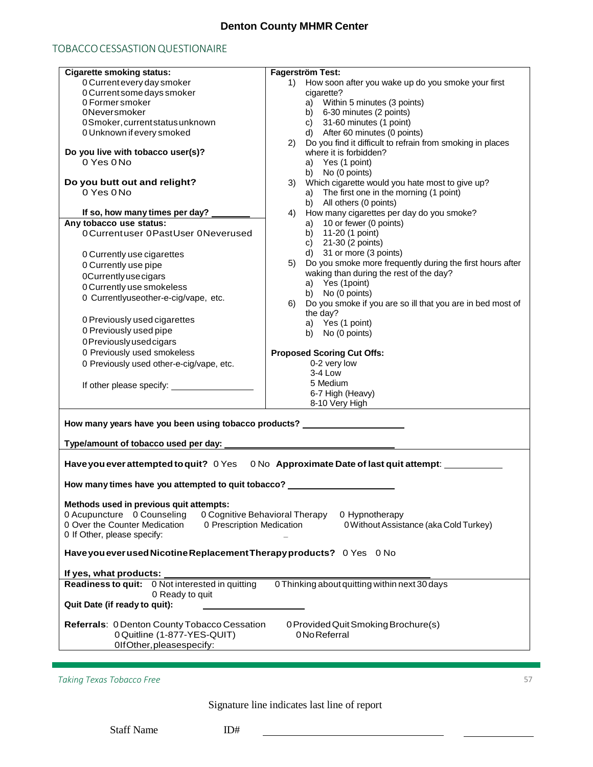## **Denton County MHMR Center**

## TOBACCO CESSASTION QUESTIONAIRE

| <b>Cigarette smoking status:</b>                                                                 | <b>Fagerström Test:</b>                                                            |
|--------------------------------------------------------------------------------------------------|------------------------------------------------------------------------------------|
| 0 Current every day smoker                                                                       | How soon after you wake up do you smoke your first<br>1)                           |
| 0 Current some days smoker                                                                       | cigarette?                                                                         |
| 0 Former smoker                                                                                  | a) Within 5 minutes (3 points)                                                     |
| <b>ONeversmoker</b>                                                                              | b) 6-30 minutes (2 points)                                                         |
| 0Smoker, current status unknown                                                                  | c) $31-60$ minutes (1 point)                                                       |
| 0 Unknown if every smoked                                                                        | d) After 60 minutes (0 points)                                                     |
|                                                                                                  | 2) Do you find it difficult to refrain from smoking in places                      |
| Do you live with tobacco user(s)?                                                                | where it is forbidden?                                                             |
| 0 Yes 0 No                                                                                       | a) Yes (1 point)                                                                   |
|                                                                                                  | b) No (0 points)                                                                   |
|                                                                                                  |                                                                                    |
| Do you butt out and relight?<br>$0$ Yes $0$ No                                                   | 3) Which cigarette would you hate most to give up?                                 |
|                                                                                                  | a) The first one in the morning (1 point)                                          |
|                                                                                                  | b) All others (0 points)                                                           |
| If so, how many times per day? _                                                                 | How many cigarettes per day do you smoke?<br>4)                                    |
| Any tobacco use status:                                                                          | 10 or fewer (0 points)<br>a)                                                       |
| 0 Currentuser 0 PastUser 0 Neverused                                                             | b) 11-20 (1 point)                                                                 |
|                                                                                                  | c) 21-30 (2 points)                                                                |
| 0 Currently use cigarettes                                                                       | d) 31 or more (3 points)                                                           |
| 0 Currently use pipe                                                                             | 5) Do you smoke more frequently during the first hours after                       |
| 0Currently use cigars                                                                            | waking than during the rest of the day?                                            |
| 0 Currently use smokeless                                                                        | a) Yes (1point)                                                                    |
| 0 Currentlyuseother-e-cig/vape, etc.                                                             | b) No (0 points)                                                                   |
|                                                                                                  | Do you smoke if you are so ill that you are in bed most of<br>6)                   |
|                                                                                                  | the day?                                                                           |
| 0 Previously used cigarettes                                                                     | a) Yes (1 point)                                                                   |
| 0 Previously used pipe                                                                           | b) No (0 points)                                                                   |
| 0 Previously used cigars                                                                         |                                                                                    |
| 0 Previously used smokeless                                                                      | <b>Proposed Scoring Cut Offs:</b>                                                  |
| 0 Previously used other-e-cig/vape, etc.                                                         | 0-2 very low                                                                       |
|                                                                                                  | 3-4 Low                                                                            |
|                                                                                                  | 5 Medium                                                                           |
|                                                                                                  | 6-7 High (Heavy)                                                                   |
|                                                                                                  | 8-10 Very High                                                                     |
|                                                                                                  |                                                                                    |
| How many years have you been using tobacco products? ___________________________                 |                                                                                    |
|                                                                                                  |                                                                                    |
| Type/amount of tobacco used per day: _________________                                           |                                                                                    |
|                                                                                                  |                                                                                    |
|                                                                                                  | Have you ever attempted to quit? 0 Yes 0 No Approximate Date of last quit attempt: |
|                                                                                                  |                                                                                    |
| How many times have you attempted to quit tobacco? _________                                     |                                                                                    |
|                                                                                                  |                                                                                    |
| Methods used in previous quit attempts:                                                          |                                                                                    |
| 0 Acupuncture 0 Counseling<br>0 Cognitive Behavioral Therapy<br>0 Hypnotherapy                   |                                                                                    |
| 0 Over the Counter Medication<br>0 Prescription Medication                                       | 0 Without Assistance (aka Cold Turkey)                                             |
| 0 If Other, please specify:                                                                      |                                                                                    |
|                                                                                                  |                                                                                    |
| Have you ever used Nicotine Replacement Therapy products? 0 Yes 0 No                             |                                                                                    |
| If yes, what products:                                                                           |                                                                                    |
| Readiness to quit: 0 Not interested in quitting<br>0 Thinking about quitting within next 30 days |                                                                                    |
| 0 Ready to quit                                                                                  |                                                                                    |
| Quit Date (if ready to quit):                                                                    |                                                                                    |
|                                                                                                  |                                                                                    |
|                                                                                                  |                                                                                    |
| Referrals: 0 Denton County Tobacco Cessation                                                     | 0 Provided Quit Smoking Brochure(s)                                                |
| 0 Quitline (1-877-YES-QUIT)                                                                      | 0 No Referral                                                                      |
| OlfOther, pleasespecify:                                                                         |                                                                                    |

*Taking Texas Tobacco Free* 57

Signature line indicates last line of report